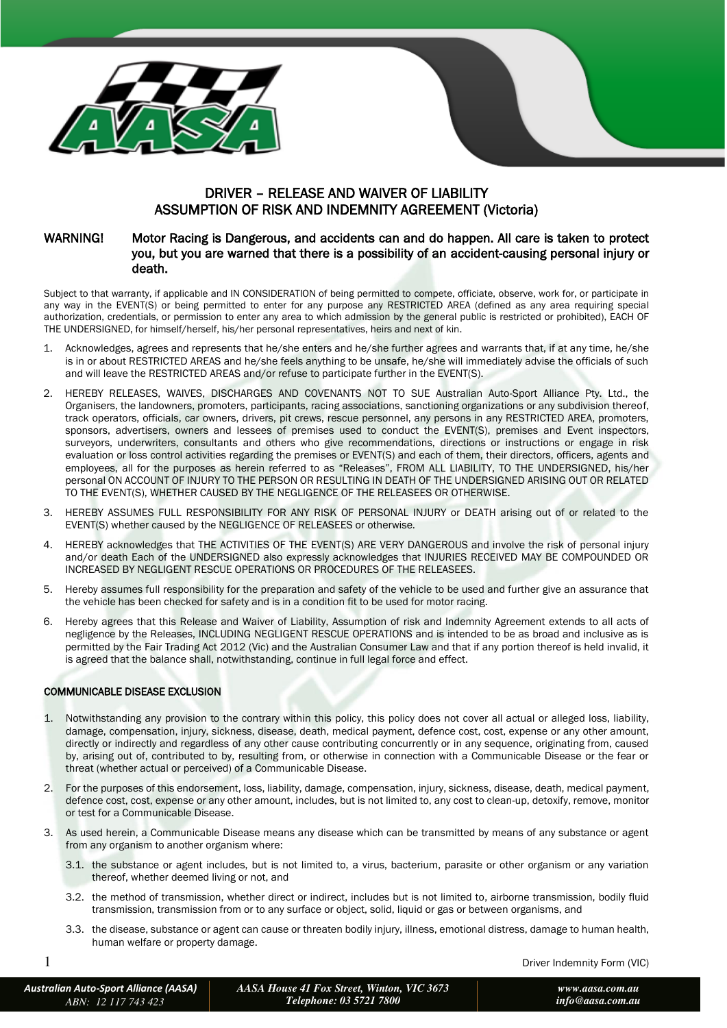

# DRIVER – RELEASE AND WAIVER OF LIABILITY ASSUMPTION OF RISK AND INDEMNITY AGREEMENT (Victoria)

### WARNING! Motor Racing is Dangerous, and accidents can and do happen. All care is taken to protect you, but you are warned that there is a possibility of an accident-causing personal injury or death.

Subject to that warranty, if applicable and IN CONSIDERATION of being permitted to compete, officiate, observe, work for, or participate in any way in the EVENT(S) or being permitted to enter for any purpose any RESTRICTED AREA (defined as any area requiring special authorization, credentials, or permission to enter any area to which admission by the general public is restricted or prohibited), EACH OF THE UNDERSIGNED, for himself/herself, his/her personal representatives, heirs and next of kin.

- Acknowledges, agrees and represents that he/she enters and he/she further agrees and warrants that, if at any time, he/she is in or about RESTRICTED AREAS and he/she feels anything to be unsafe, he/she will immediately advise the officials of such and will leave the RESTRICTED AREAS and/or refuse to participate further in the EVENT(S).
- 2. HEREBY RELEASES, WAIVES, DISCHARGES AND COVENANTS NOT TO SUE Australian Auto-Sport Alliance Pty. Ltd., the Organisers, the landowners, promoters, participants, racing associations, sanctioning organizations or any subdivision thereof, track operators, officials, car owners, drivers, pit crews, rescue personnel, any persons in any RESTRICTED AREA, promoters, sponsors, advertisers, owners and lessees of premises used to conduct the EVENT(S), premises and Event inspectors, surveyors, underwriters, consultants and others who give recommendations, directions or instructions or engage in risk evaluation or loss control activities regarding the premises or EVENT(S) and each of them, their directors, officers, agents and employees, all for the purposes as herein referred to as "Releases", FROM ALL LIABILITY, TO THE UNDERSIGNED, his/her personal ON ACCOUNT OF INJURY TO THE PERSON OR RESULTING IN DEATH OF THE UNDERSIGNED ARISING OUT OR RELATED TO THE EVENT(S), WHETHER CAUSED BY THE NEGLIGENCE OF THE RELEASEES OR OTHERWISE.
- 3. HEREBY ASSUMES FULL RESPONSIBILITY FOR ANY RISK OF PERSONAL INJURY or DEATH arising out of or related to the EVENT(S) whether caused by the NEGLIGENCE OF RELEASEES or otherwise.
- 4. HEREBY acknowledges that THE ACTIVITIES OF THE EVENT(S) ARE VERY DANGEROUS and involve the risk of personal injury and/or death Each of the UNDERSIGNED also expressly acknowledges that INJURIES RECEIVED MAY BE COMPOUNDED OR INCREASED BY NEGLIGENT RESCUE OPERATIONS OR PROCEDURES OF THE RELEASEES.
- 5. Hereby assumes full responsibility for the preparation and safety of the vehicle to be used and further give an assurance that the vehicle has been checked for safety and is in a condition fit to be used for motor racing.
- 6. Hereby agrees that this Release and Waiver of Liability, Assumption of risk and Indemnity Agreement extends to all acts of negligence by the Releases, INCLUDING NEGLIGENT RESCUE OPERATIONS and is intended to be as broad and inclusive as is permitted by the Fair Trading Act 2012 (Vic) and the Australian Consumer Law and that if any portion thereof is held invalid, it is agreed that the balance shall, notwithstanding, continue in full legal force and effect.

### COMMUNICABLE DISEASE EXCLUSION

- 1. Notwithstanding any provision to the contrary within this policy, this policy does not cover all actual or alleged loss, liability, damage, compensation, injury, sickness, disease, death, medical payment, defence cost, cost, expense or any other amount, directly or indirectly and regardless of any other cause contributing concurrently or in any sequence, originating from, caused by, arising out of, contributed to by, resulting from, or otherwise in connection with a Communicable Disease or the fear or threat (whether actual or perceived) of a Communicable Disease.
- 2. For the purposes of this endorsement, loss, liability, damage, compensation, injury, sickness, disease, death, medical payment, defence cost, cost, expense or any other amount, includes, but is not limited to, any cost to clean-up, detoxify, remove, monitor or test for a Communicable Disease.
- 3. As used herein, a Communicable Disease means any disease which can be transmitted by means of any substance or agent from any organism to another organism where:
	- 3.1. the substance or agent includes, but is not limited to, a virus, bacterium, parasite or other organism or any variation thereof, whether deemed living or not, and
	- 3.2. the method of transmission, whether direct or indirect, includes but is not limited to, airborne transmission, bodily fluid transmission, transmission from or to any surface or object, solid, liquid or gas or between organisms, and
	- 3.3. the disease, substance or agent can cause or threaten bodily injury, illness, emotional distress, damage to human health, human welfare or property damage.

1 Driver Indemnity Form (VIC)